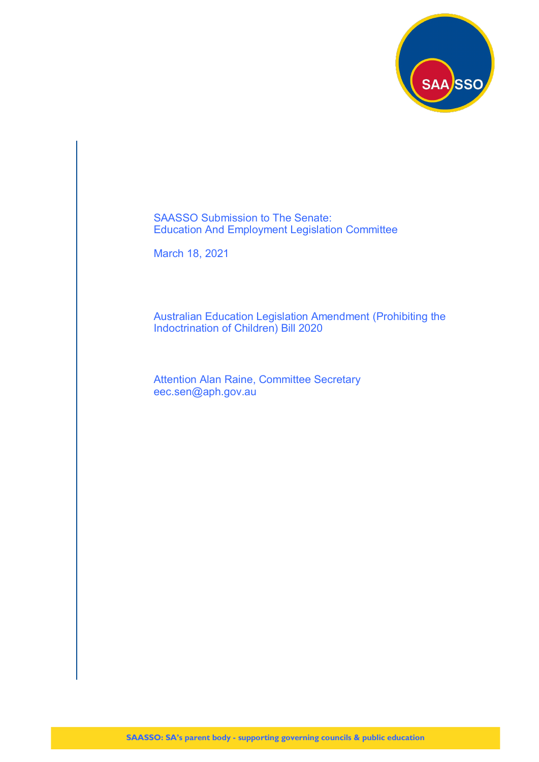

SAASSO Submission to The Senate: Education And Employment Legislation Committee

March 18, 2021

Australian Education Legislation Amendment (Prohibiting the Indoctrination of Children) Bill 2020

Attention Alan Raine, Committee Secretary eec.sen@aph.gov.au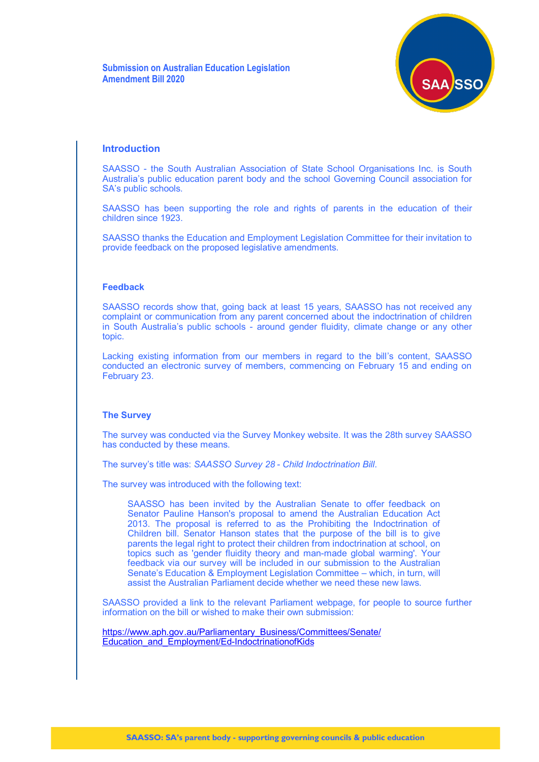

## **Introduction**

SAASSO - the South Australian Association of State School Organisations Inc. is South Australia's public education parent body and the school Governing Council association for SA's public schools.

SAASSO has been supporting the role and rights of parents in the education of their children since 1923.

SAASSO thanks the Education and Employment Legislation Committee for their invitation to provide feedback on the proposed legislative amendments.

#### **Feedback**

SAASSO records show that, going back at least 15 years, SAASSO has not received any complaint or communication from any parent concerned about the indoctrination of children in South Australia's public schools - around gender fluidity, climate change or any other topic.

Lacking existing information from our members in regard to the bill's content, SAASSO conducted an electronic survey of members, commencing on February 15 and ending on February 23.

### **The Survey**

The survey was conducted via the Survey Monkey website. It was the 28th survey SAASSO has conducted by these means.

The survey's title was: *SAASSO Survey 28 - Child Indoctrination Bill*.

The survey was introduced with the following text:

SAASSO has been invited by the Australian Senate to offer feedback on Senator Pauline Hanson's proposal to amend the Australian Education Act 2013. The proposal is referred to as the Prohibiting the Indoctrination of Children bill. Senator Hanson states that the purpose of the bill is to give parents the legal right to protect their children from indoctrination at school, on topics such as 'gender fluidity theory and man-made global warming'. Your feedback via our survey will be included in our submission to the Australian Senate's Education & Employment Legislation Committee – which, in turn, will assist the Australian Parliament decide whether we need these new laws.

SAASSO provided a link to the relevant Parliament webpage, for people to source further information on the bill or wished to make their own submission:

[https://www.aph.gov.au/Parliamentary\\_Business/Committees/Senate/](https://www.aph.gov.au/Parliamentary_Business/Committees/Senate/Education_and_Employment/Ed-IndoctrinationofKids) [Education\\_and\\_Employment/Ed](https://www.aph.gov.au/Parliamentary_Business/Committees/Senate/Education_and_Employment/Ed-IndoctrinationofKids)-IndoctrinationofKids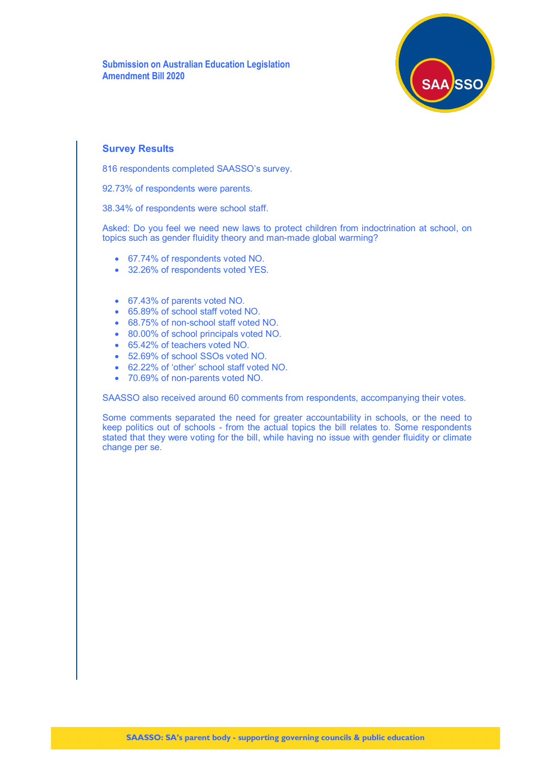**Submission on Australian Education Legislation Amendment Bill 2020**



## **Survey Results**

816 respondents completed SAASSO's survey.

92.73% of respondents were parents.

38.34% of respondents were school staff.

Asked: Do you feel we need new laws to protect children from indoctrination at school, on topics such as gender fluidity theory and man-made global warming?

- 67.74% of respondents voted NO.
- 32.26% of respondents voted YES.
- 67.43% of parents voted NO.
- 65.89% of school staff voted NO.
- 68.75% of non-school staff voted NO.
- 80.00% of school principals voted NO.
- 65.42% of teachers voted NO.
- 52.69% of school SSOs voted NO.
- 62.22% of 'other' school staff voted NO.
- 70.69% of non-parents voted NO.

SAASSO also received around 60 comments from respondents, accompanying their votes.

Some comments separated the need for greater accountability in schools, or the need to keep politics out of schools - from the actual topics the bill relates to. Some respondents stated that they were voting for the bill, while having no issue with gender fluidity or climate change per se.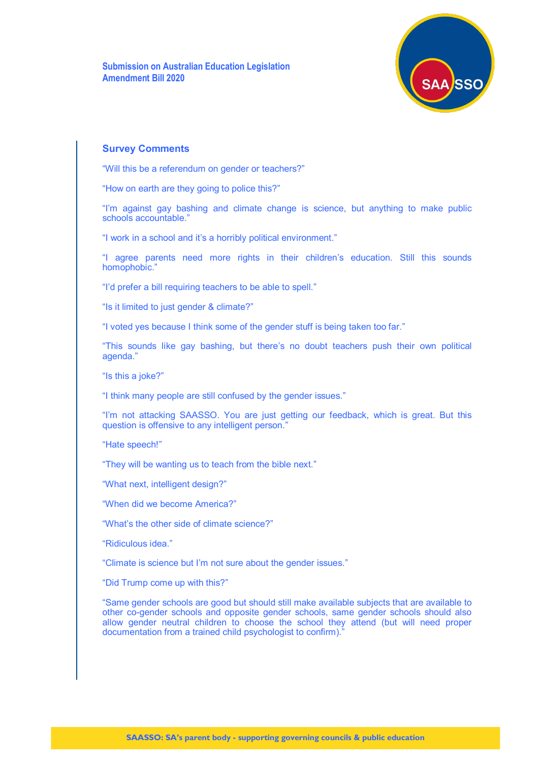**Submission on Australian Education Legislation Amendment Bill 2020**



### **Survey Comments**

"Will this be a referendum on gender or teachers?"

"How on earth are they going to police this?"

"I'm against gay bashing and climate change is science, but anything to make public schools accountable."

"I work in a school and it's a horribly political environment."

"I agree parents need more rights in their children's education. Still this sounds homophobic."

"I'd prefer a bill requiring teachers to be able to spell."

"Is it limited to just gender & climate?"

"I voted yes because I think some of the gender stuff is being taken too far."

"This sounds like gay bashing, but there's no doubt teachers push their own political agenda."

"Is this a joke?"

"I think many people are still confused by the gender issues."

"I'm not attacking SAASSO. You are just getting our feedback, which is great. But this question is offensive to any intelligent person."

"Hate speech!"

"They will be wanting us to teach from the bible next."

"What next, intelligent design?"

"When did we become America?"

"What's the other side of climate science?"

"Ridiculous idea."

"Climate is science but I'm not sure about the gender issues."

"Did Trump come up with this?"

"Same gender schools are good but should still make available subjects that are available to other co-gender schools and opposite gender schools, same gender schools should also allow gender neutral children to choose the school they attend (but will need proper documentation from a trained child psychologist to confirm).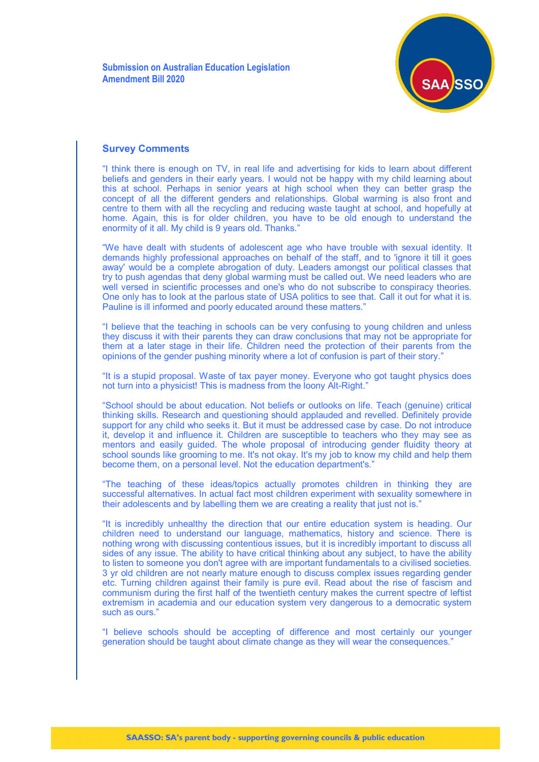

"I think there is enough on TV, in real life and advertising for kids to learn about different beliefs and genders in their early years. I would not be happy with my child learning about this at school. Perhaps in senior years at high school when they can better grasp the concept of all the different genders and relationships. Global warming is also front and centre to them with all the recycling and reducing waste taught at school, and hopefully at home. Again, this is for older children, you have to be old enough to understand the enormity of it all. My child is 9 years old. Thanks."

"We have dealt with students of adolescent age who have trouble with sexual identity. It demands highly professional approaches on behalf of the staff, and to 'ignore it till it goes away' would be a complete abrogation of duty. Leaders amongst our political classes that try to push agendas that deny global warming must be called out. We need leaders who are well versed in scientific processes and one's who do not subscribe to conspiracy theories. One only has to look at the parlous state of USA politics to see that. Call it out for what it is. Pauline is ill informed and poorly educated around these matters."

"I believe that the teaching in schools can be very confusing to young children and unless they discuss it with their parents they can draw conclusions that may not be appropriate for them at a later stage in their life. Children need the protection of their parents from the opinions of the gender pushing minority where a lot of confusion is part of their story."

"It is a stupid proposal. Waste of tax payer money. Everyone who got taught physics does not turn into a physicist! This is madness from the loony Alt-Right."

"School should be about education. Not beliefs or outlooks on life. Teach (genuine) critical thinking skills. Research and questioning should applauded and revelled. Definitely provide support for any child who seeks it. But it must be addressed case by case. Do not introduce it, develop it and influence it. Children are susceptible to teachers who they may see as mentors and easily guided. The whole proposal of introducing gender fluidity theory at school sounds like grooming to me. It's not okay. It's my job to know my child and help them become them, on a personal level. Not the education department's."

"The teaching of these ideas/topics actually promotes children in thinking they are successful alternatives. In actual fact most children experiment with sexuality somewhere in their adolescents and by labelling them we are creating a reality that just not is."

"It is incredibly unhealthy the direction that our entire education system is heading. Our children need to understand our language, mathematics, history and science. There is nothing wrong with discussing contentious issues, but it is incredibly important to discuss all sides of any issue. The ability to have critical thinking about any subject, to have the ability to listen to someone you don't agree with are important fundamentals to a civilised societies. 3 yr old children are not nearly mature enough to discuss complex issues regarding gender etc. Turning children against their family is pure evil. Read about the rise of fascism and communism during the first half of the twentieth century makes the current spectre of leftist extremism in academia and our education system very dangerous to a democratic system such as ours."

"I believe schools should be accepting of difference and most certainly our younger generation should be taught about climate change as they will wear the consequences."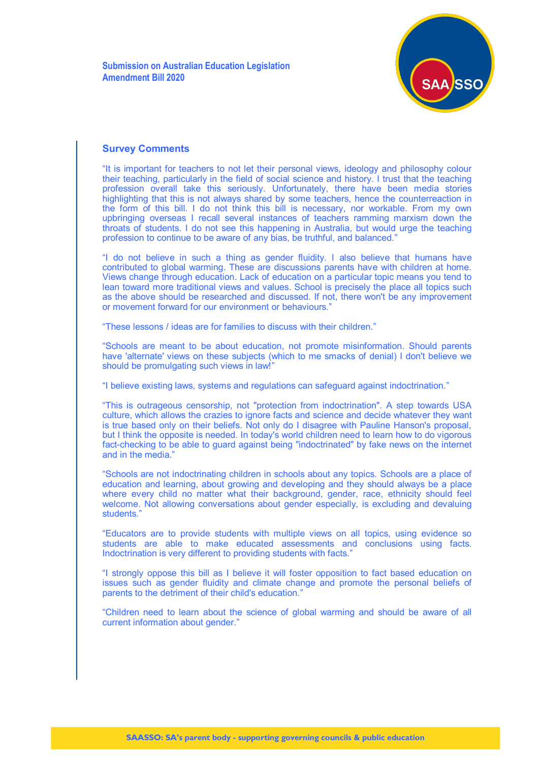

"It is important for teachers to not let their personal views, ideology and philosophy colour their teaching, particularly in the field of social science and history. I trust that the teaching profession overall take this seriously. Unfortunately, there have been media stories highlighting that this is not always shared by some teachers, hence the counterreaction in the form of this bill. I do not think this bill is necessary, nor workable. From my own upbringing overseas I recall several instances of teachers ramming marxism down the throats of students. I do not see this happening in Australia, but would urge the teaching profession to continue to be aware of any bias, be truthful, and balanced.'

"I do not believe in such a thing as gender fluidity. I also believe that humans have contributed to global warming. These are discussions parents have with children at home. Views change through education. Lack of education on a particular topic means you tend to lean toward more traditional views and values. School is precisely the place all topics such as the above should be researched and discussed. If not, there won't be any improvement or movement forward for our environment or behaviours."

"These lessons / ideas are for families to discuss with their children."

"Schools are meant to be about education, not promote misinformation. Should parents have 'alternate' views on these subjects (which to me smacks of denial) I don't believe we should be promulgating such views in law!"

"I believe existing laws, systems and regulations can safeguard against indoctrination."

"This is outrageous censorship, not "protection from indoctrination". A step towards USA culture, which allows the crazies to ignore facts and science and decide whatever they want is true based only on their beliefs. Not only do I disagree with Pauline Hanson's proposal, but I think the opposite is needed. In today's world children need to learn how to do vigorous fact-checking to be able to guard against being "indoctrinated" by fake news on the internet and in the media."

"Schools are not indoctrinating children in schools about any topics. Schools are a place of education and learning, about growing and developing and they should always be a place where every child no matter what their background, gender, race, ethnicity should feel welcome. Not allowing conversations about gender especially, is excluding and devaluing students."

"Educators are to provide students with multiple views on all topics, using evidence so students are able to make educated assessments and conclusions using facts. Indoctrination is very different to providing students with facts."

"I strongly oppose this bill as I believe it will foster opposition to fact based education on issues such as gender fluidity and climate change and promote the personal beliefs of parents to the detriment of their child's education."

"Children need to learn about the science of global warming and should be aware of all current information about gender."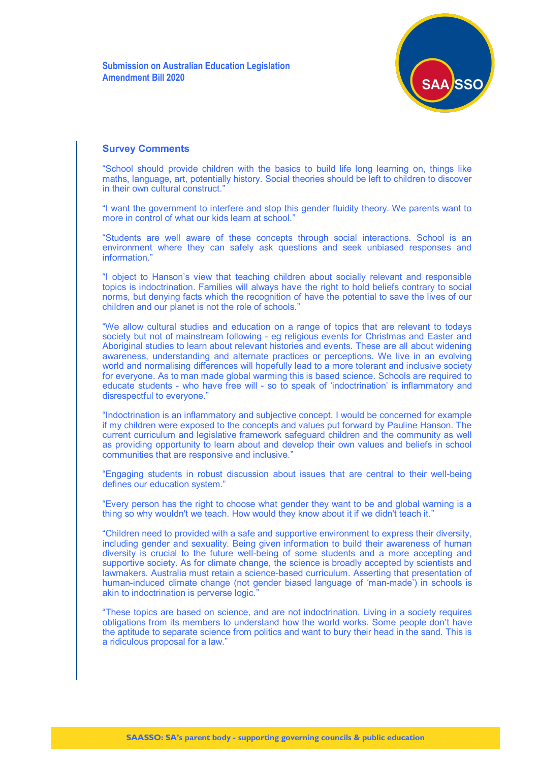

"School should provide children with the basics to build life long learning on, things like maths, language, art, potentially history. Social theories should be left to children to discover in their own cultural construct."

"I want the government to interfere and stop this gender fluidity theory. We parents want to more in control of what our kids learn at school."

"Students are well aware of these concepts through social interactions. School is an environment where they can safely ask questions and seek unbiased responses and information."

"I object to Hanson's view that teaching children about socially relevant and responsible topics is indoctrination. Families will always have the right to hold beliefs contrary to social norms, but denying facts which the recognition of have the potential to save the lives of our children and our planet is not the role of schools."

"We allow cultural studies and education on a range of topics that are relevant to todays society but not of mainstream following - eg religious events for Christmas and Easter and Aboriginal studies to learn about relevant histories and events. These are all about widening awareness, understanding and alternate practices or perceptions. We Iive in an evolving world and normalising differences will hopefully lead to a more tolerant and inclusive society for everyone. As to man made global warming this is based science. Schools are required to educate students - who have free will - so to speak of 'indoctrination' is inflammatory and disrespectful to everyone."

"Indoctrination is an inflammatory and subjective concept. I would be concerned for example if my children were exposed to the concepts and values put forward by Pauline Hanson. The current curriculum and legislative framework safeguard children and the community as well as providing opportunity to learn about and develop their own values and beliefs in school communities that are responsive and inclusive."

"Engaging students in robust discussion about issues that are central to their well-being defines our education system."

"Every person has the right to choose what gender they want to be and global warning is a thing so why wouldn't we teach. How would they know about it if we didn't teach it."

"Children need to provided with a safe and supportive environment to express their diversity, including gender and sexuality. Being given information to build their awareness of human diversity is crucial to the future well-being of some students and a more accepting and supportive society. As for climate change, the science is broadly accepted by scientists and lawmakers. Australia must retain a science-based curriculum. Asserting that presentation of human-induced climate change (not gender biased language of 'man-made') in schools is akin to indoctrination is perverse logic."

"These topics are based on science, and are not indoctrination. Living in a society requires obligations from its members to understand how the world works. Some people don't have the aptitude to separate science from politics and want to bury their head in the sand. This is a ridiculous proposal for a law."